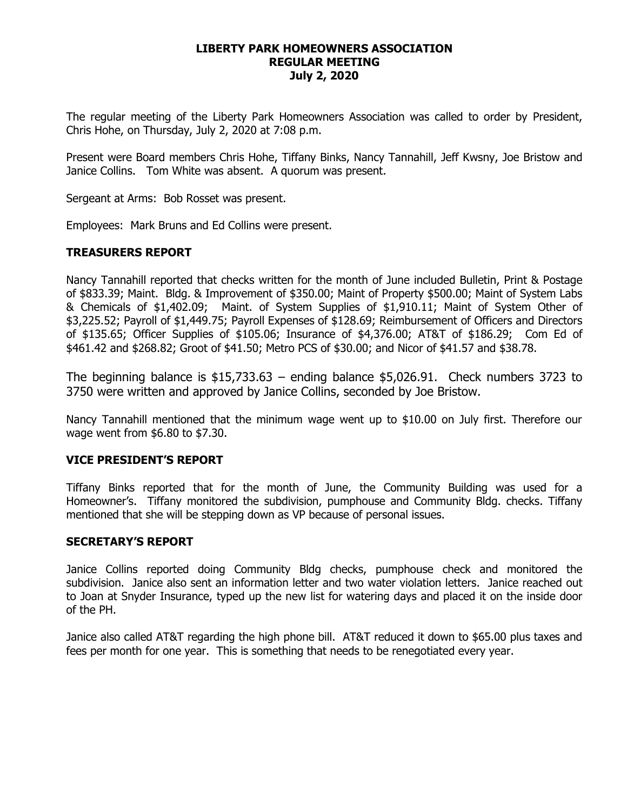#### **LIBERTY PARK HOMEOWNERS ASSOCIATION REGULAR MEETING July 2, 2020**

The regular meeting of the Liberty Park Homeowners Association was called to order by President, Chris Hohe, on Thursday, July 2, 2020 at 7:08 p.m.

Present were Board members Chris Hohe, Tiffany Binks, Nancy Tannahill, Jeff Kwsny, Joe Bristow and Janice Collins. Tom White was absent. A quorum was present.

Sergeant at Arms: Bob Rosset was present.

Employees: Mark Bruns and Ed Collins were present.

## **TREASURERS REPORT**

Nancy Tannahill reported that checks written for the month of June included Bulletin, Print & Postage of \$833.39; Maint. Bldg. & Improvement of \$350.00; Maint of Property \$500.00; Maint of System Labs & Chemicals of \$1,402.09; Maint. of System Supplies of \$1,910.11; Maint of System Other of \$3,225.52; Payroll of \$1,449.75; Payroll Expenses of \$128.69; Reimbursement of Officers and Directors of \$135.65; Officer Supplies of \$105.06; Insurance of \$4,376.00; AT&T of \$186.29; Com Ed of \$461.42 and \$268.82; Groot of \$41.50; Metro PCS of \$30.00; and Nicor of \$41.57 and \$38.78.

The beginning balance is  $$15,733.63$  – ending balance  $$5,026.91$ . Check numbers 3723 to 3750 were written and approved by Janice Collins, seconded by Joe Bristow.

Nancy Tannahill mentioned that the minimum wage went up to \$10.00 on July first. Therefore our wage went from \$6.80 to \$7.30.

## **VICE PRESIDENT'S REPORT**

Tiffany Binks reported that for the month of June, the Community Building was used for a Homeowner's. Tiffany monitored the subdivision, pumphouse and Community Bldg. checks. Tiffany mentioned that she will be stepping down as VP because of personal issues.

#### **SECRETARY'S REPORT**

Janice Collins reported doing Community Bldg checks, pumphouse check and monitored the subdivision. Janice also sent an information letter and two water violation letters. Janice reached out to Joan at Snyder Insurance, typed up the new list for watering days and placed it on the inside door of the PH.

Janice also called AT&T regarding the high phone bill. AT&T reduced it down to \$65.00 plus taxes and fees per month for one year. This is something that needs to be renegotiated every year.